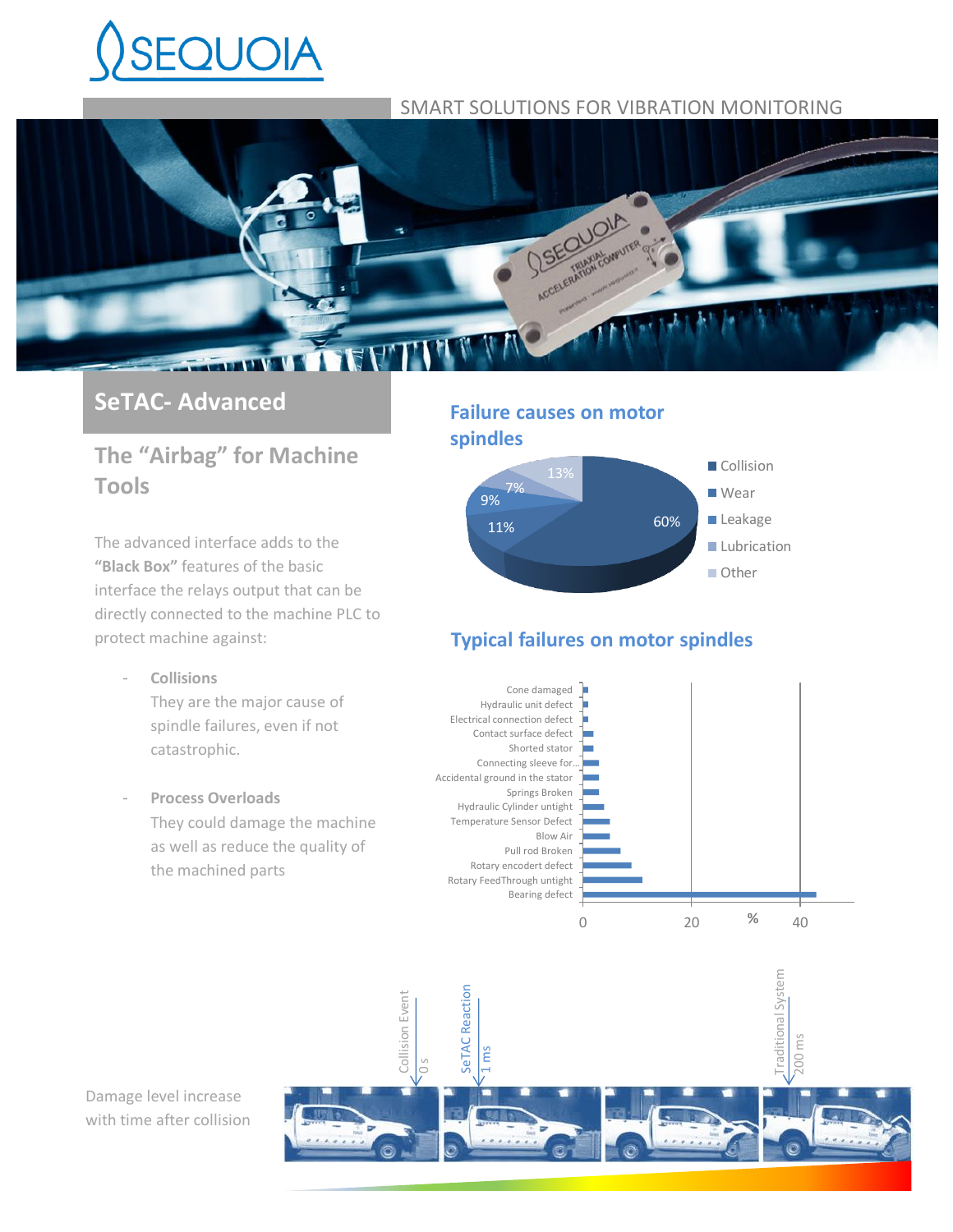# **SEQUOIA**

# SMART SOLUTIONS FOR VIBRATION MONITORING



# **SeTAC- Advanced**

# **The "Airbag" for Machine Tools**

The advanced interface adds to the **"Black Box"** features of the basic interface the relays output that can be directly connected to the machine PLC to protect machine against:

- **Collisions** They are the major cause of spindle failures, even if not catastrophic.
- **Process Overloads** They could damage the machine as well as reduce the quality of the machined parts

# **Failure causes on motor spindles**



# **Typical failures on motor spindles**





Damage level increase with time after collision